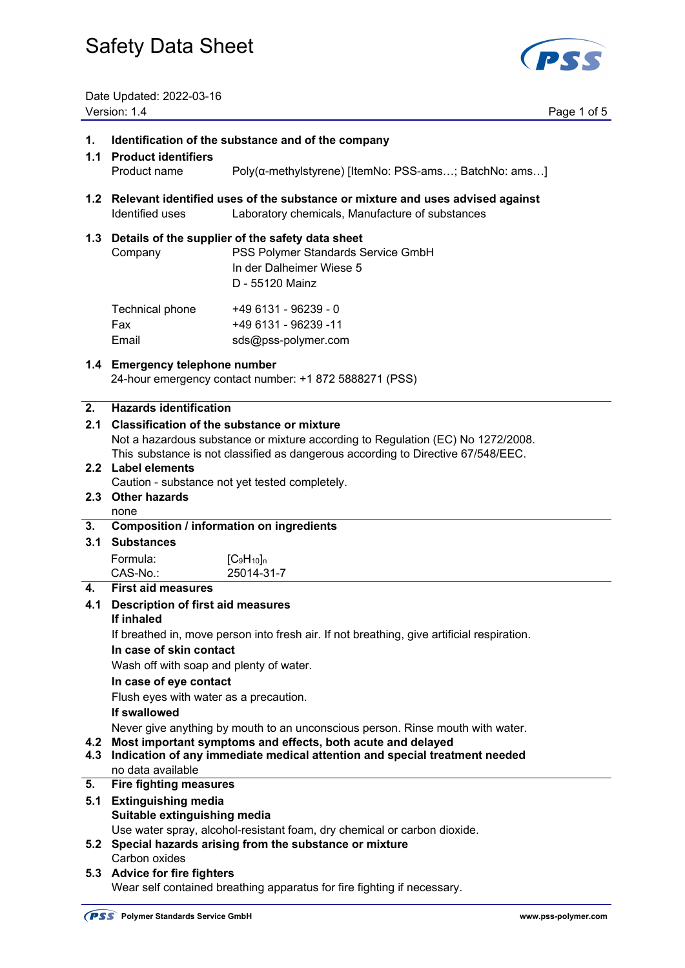

Date Updated: 2022-03-16 Version: 1.4 Page 1 of 5

| 1.         | Identification of the substance and of the company                                                                                        |                                                                                                                                                                     |  |
|------------|-------------------------------------------------------------------------------------------------------------------------------------------|---------------------------------------------------------------------------------------------------------------------------------------------------------------------|--|
|            | 1.1 Product identifiers<br>Product name                                                                                                   | Poly(α-methylstyrene) [ItemNo: PSS-ams; BatchNo: ams]                                                                                                               |  |
|            |                                                                                                                                           |                                                                                                                                                                     |  |
|            | Identified uses                                                                                                                           | 1.2 Relevant identified uses of the substance or mixture and uses advised against<br>Laboratory chemicals, Manufacture of substances                                |  |
|            | Company                                                                                                                                   | 1.3 Details of the supplier of the safety data sheet<br>PSS Polymer Standards Service GmbH<br>In der Dalheimer Wiese 5<br>D - 55120 Mainz                           |  |
|            | Technical phone<br>Fax<br>Email                                                                                                           | +49 6131 - 96239 - 0<br>+49 6131 - 96239 -11<br>sds@pss-polymer.com                                                                                                 |  |
|            | 1.4 Emergency telephone number                                                                                                            | 24-hour emergency contact number: +1 872 5888271 (PSS)                                                                                                              |  |
| 2.         | <b>Hazards identification</b>                                                                                                             |                                                                                                                                                                     |  |
|            | 2.1 Classification of the substance or mixture                                                                                            |                                                                                                                                                                     |  |
|            |                                                                                                                                           | Not a hazardous substance or mixture according to Regulation (EC) No 1272/2008.<br>This substance is not classified as dangerous according to Directive 67/548/EEC. |  |
|            | 2.2 Label elements                                                                                                                        |                                                                                                                                                                     |  |
|            |                                                                                                                                           | Caution - substance not yet tested completely.                                                                                                                      |  |
|            | 2.3 Other hazards<br>none                                                                                                                 |                                                                                                                                                                     |  |
| 3.         | <b>Composition / information on ingredients</b>                                                                                           |                                                                                                                                                                     |  |
| 3.1        | <b>Substances</b>                                                                                                                         |                                                                                                                                                                     |  |
|            | Formula:                                                                                                                                  | $[C_9H_{10}]_n$                                                                                                                                                     |  |
|            | CAS-No.:                                                                                                                                  | 25014-31-7                                                                                                                                                          |  |
| 4.         | <b>First aid measures</b>                                                                                                                 |                                                                                                                                                                     |  |
| 4.1        | <b>Description of first aid measures</b><br>If inhaled                                                                                    |                                                                                                                                                                     |  |
|            |                                                                                                                                           | If breathed in, move person into fresh air. If not breathing, give artificial respiration.                                                                          |  |
|            | In case of skin contact                                                                                                                   |                                                                                                                                                                     |  |
|            | Wash off with soap and plenty of water.                                                                                                   |                                                                                                                                                                     |  |
|            | In case of eye contact                                                                                                                    |                                                                                                                                                                     |  |
|            | Flush eyes with water as a precaution.<br>If swallowed                                                                                    |                                                                                                                                                                     |  |
|            |                                                                                                                                           | Never give anything by mouth to an unconscious person. Rinse mouth with water.                                                                                      |  |
| 4.2<br>4.3 | Most important symptoms and effects, both acute and delayed<br>Indication of any immediate medical attention and special treatment needed |                                                                                                                                                                     |  |
|            | no data available                                                                                                                         |                                                                                                                                                                     |  |
| 5.         | <b>Fire fighting measures</b>                                                                                                             |                                                                                                                                                                     |  |
| 5.1        | <b>Extinguishing media</b><br>Suitable extinguishing media                                                                                |                                                                                                                                                                     |  |
|            |                                                                                                                                           | Use water spray, alcohol-resistant foam, dry chemical or carbon dioxide.                                                                                            |  |
| 5.2        |                                                                                                                                           | Special hazards arising from the substance or mixture                                                                                                               |  |
|            |                                                                                                                                           |                                                                                                                                                                     |  |
|            | Carbon oxides<br>5.3 Advice for fire fighters                                                                                             |                                                                                                                                                                     |  |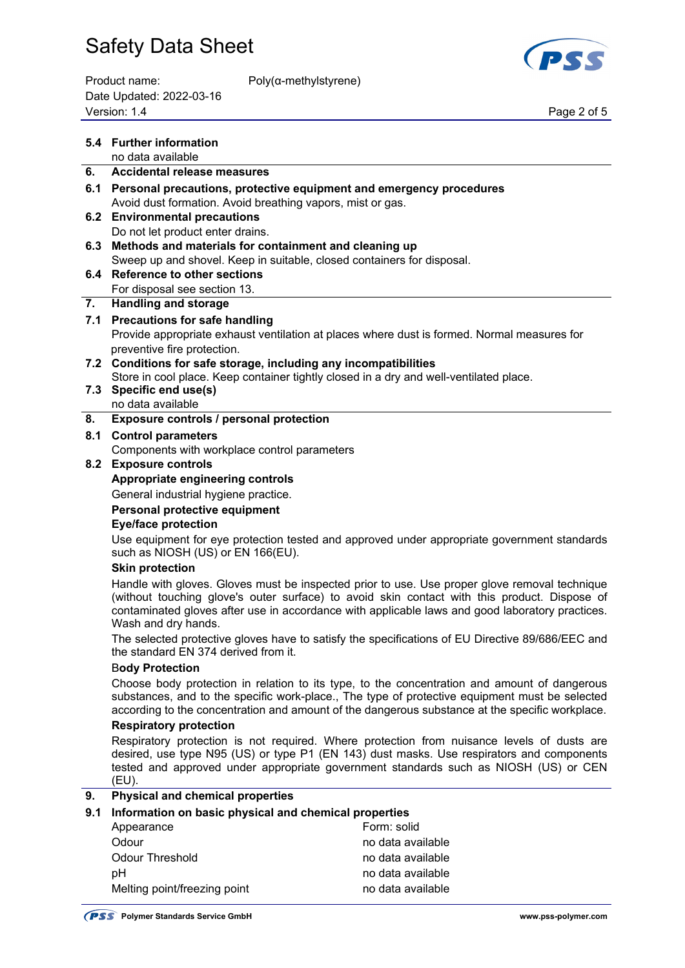

Product name: Poly(α-methylstyrene) Date Updated: 2022-03-16 Page 2 of 5<br>Version: 1.4 Page 2 of 5

|     | 5.4 Further information                                                                                                                                                                                                                                                                                                 |                                                                                                                                                                                         |  |
|-----|-------------------------------------------------------------------------------------------------------------------------------------------------------------------------------------------------------------------------------------------------------------------------------------------------------------------------|-----------------------------------------------------------------------------------------------------------------------------------------------------------------------------------------|--|
| 6.  | no data available<br>Accidental release measures                                                                                                                                                                                                                                                                        |                                                                                                                                                                                         |  |
|     |                                                                                                                                                                                                                                                                                                                         |                                                                                                                                                                                         |  |
|     | 6.1 Personal precautions, protective equipment and emergency procedures                                                                                                                                                                                                                                                 |                                                                                                                                                                                         |  |
|     | Avoid dust formation. Avoid breathing vapors, mist or gas.<br>6.2 Environmental precautions                                                                                                                                                                                                                             |                                                                                                                                                                                         |  |
|     | Do not let product enter drains.                                                                                                                                                                                                                                                                                        |                                                                                                                                                                                         |  |
| 6.3 | Methods and materials for containment and cleaning up                                                                                                                                                                                                                                                                   |                                                                                                                                                                                         |  |
|     | Sweep up and shovel. Keep in suitable, closed containers for disposal.                                                                                                                                                                                                                                                  |                                                                                                                                                                                         |  |
|     | 6.4 Reference to other sections                                                                                                                                                                                                                                                                                         |                                                                                                                                                                                         |  |
|     | For disposal see section 13.                                                                                                                                                                                                                                                                                            |                                                                                                                                                                                         |  |
| 7.  | <b>Handling and storage</b>                                                                                                                                                                                                                                                                                             |                                                                                                                                                                                         |  |
|     | 7.1 Precautions for safe handling                                                                                                                                                                                                                                                                                       |                                                                                                                                                                                         |  |
|     | Provide appropriate exhaust ventilation at places where dust is formed. Normal measures for                                                                                                                                                                                                                             |                                                                                                                                                                                         |  |
|     | preventive fire protection.                                                                                                                                                                                                                                                                                             |                                                                                                                                                                                         |  |
|     | 7.2 Conditions for safe storage, including any incompatibilities                                                                                                                                                                                                                                                        |                                                                                                                                                                                         |  |
|     | Store in cool place. Keep container tightly closed in a dry and well-ventilated place.                                                                                                                                                                                                                                  |                                                                                                                                                                                         |  |
|     | 7.3 Specific end use(s)                                                                                                                                                                                                                                                                                                 |                                                                                                                                                                                         |  |
|     | no data available                                                                                                                                                                                                                                                                                                       |                                                                                                                                                                                         |  |
| 8.  | Exposure controls / personal protection                                                                                                                                                                                                                                                                                 |                                                                                                                                                                                         |  |
| 8.1 | <b>Control parameters</b>                                                                                                                                                                                                                                                                                               |                                                                                                                                                                                         |  |
|     | Components with workplace control parameters                                                                                                                                                                                                                                                                            |                                                                                                                                                                                         |  |
|     | 8.2 Exposure controls                                                                                                                                                                                                                                                                                                   |                                                                                                                                                                                         |  |
|     | Appropriate engineering controls                                                                                                                                                                                                                                                                                        |                                                                                                                                                                                         |  |
|     | General industrial hygiene practice.                                                                                                                                                                                                                                                                                    |                                                                                                                                                                                         |  |
|     | Personal protective equipment                                                                                                                                                                                                                                                                                           |                                                                                                                                                                                         |  |
|     | <b>Eye/face protection</b>                                                                                                                                                                                                                                                                                              |                                                                                                                                                                                         |  |
|     | such as NIOSH (US) or EN 166(EU).                                                                                                                                                                                                                                                                                       | Use equipment for eye protection tested and approved under appropriate government standards                                                                                             |  |
|     | <b>Skin protection</b>                                                                                                                                                                                                                                                                                                  |                                                                                                                                                                                         |  |
|     | Handle with gloves. Gloves must be inspected prior to use. Use proper glove removal technique<br>(without touching glove's outer surface) to avoid skin contact with this product. Dispose of<br>contaminated gloves after use in accordance with applicable laws and good laboratory practices.<br>Wash and dry hands. |                                                                                                                                                                                         |  |
|     | The selected protective gloves have to satisfy the specifications of EU Directive 89/686/EEC and<br>the standard EN 374 derived from it.                                                                                                                                                                                |                                                                                                                                                                                         |  |
|     | <b>Body Protection</b>                                                                                                                                                                                                                                                                                                  |                                                                                                                                                                                         |  |
|     | Choose body protection in relation to its type, to the concentration and amount of dangerous                                                                                                                                                                                                                            |                                                                                                                                                                                         |  |
|     | substances, and to the specific work-place., The type of protective equipment must be selected<br>according to the concentration and amount of the dangerous substance at the specific workplace.                                                                                                                       |                                                                                                                                                                                         |  |
|     | <b>Respiratory protection</b>                                                                                                                                                                                                                                                                                           |                                                                                                                                                                                         |  |
|     |                                                                                                                                                                                                                                                                                                                         | Respiratory protection is not required. Where protection from nuisance levels of dusts are<br>desired, use type N95 (US) or type P1 (EN 143) dust masks. Use respirators and components |  |
|     | (EU).                                                                                                                                                                                                                                                                                                                   | tested and approved under appropriate government standards such as NIOSH (US) or CEN                                                                                                    |  |
| 9.  | <b>Physical and chemical properties</b>                                                                                                                                                                                                                                                                                 |                                                                                                                                                                                         |  |
| 9.1 | Information on basic physical and chemical properties                                                                                                                                                                                                                                                                   |                                                                                                                                                                                         |  |
|     | Appearance                                                                                                                                                                                                                                                                                                              | Form: solid                                                                                                                                                                             |  |
|     | Odour                                                                                                                                                                                                                                                                                                                   | no data available                                                                                                                                                                       |  |
|     | <b>Odour Threshold</b>                                                                                                                                                                                                                                                                                                  | no data available                                                                                                                                                                       |  |
|     | pH                                                                                                                                                                                                                                                                                                                      | no data available                                                                                                                                                                       |  |

Melting point/freezing point no data available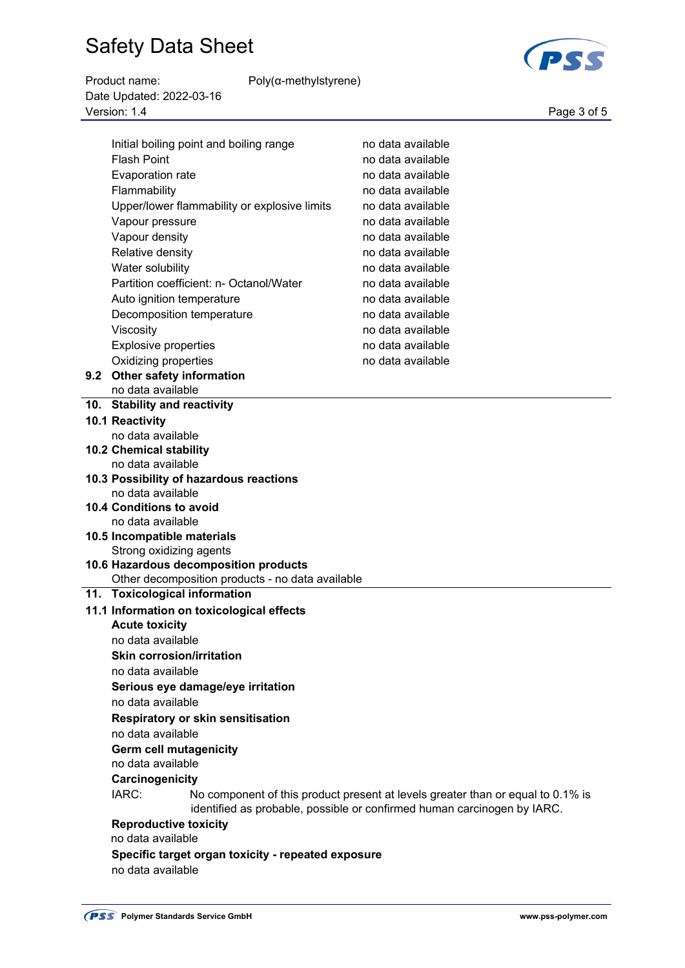| Product name:            | $Poly(\alpha$ -methylstyrene) |             |
|--------------------------|-------------------------------|-------------|
| Date Updated: 2022-03-16 |                               |             |
| Version: 1.4             |                               | Page 3 of 5 |





| Initial boiling point and boiling range            | no data available                                                                                                                                          |
|----------------------------------------------------|------------------------------------------------------------------------------------------------------------------------------------------------------------|
| <b>Flash Point</b>                                 | no data available                                                                                                                                          |
| Evaporation rate                                   | no data available                                                                                                                                          |
| Flammability                                       | no data available                                                                                                                                          |
| Upper/lower flammability or explosive limits       | no data available                                                                                                                                          |
| Vapour pressure                                    | no data available                                                                                                                                          |
| Vapour density                                     | no data available                                                                                                                                          |
| Relative density                                   | no data available                                                                                                                                          |
| Water solubility                                   | no data available                                                                                                                                          |
| Partition coefficient: n- Octanol/Water            | no data available                                                                                                                                          |
| Auto ignition temperature                          | no data available                                                                                                                                          |
| Decomposition temperature                          | no data available                                                                                                                                          |
| Viscosity                                          | no data available                                                                                                                                          |
| <b>Explosive properties</b>                        | no data available                                                                                                                                          |
|                                                    |                                                                                                                                                            |
| Oxidizing properties                               | no data available                                                                                                                                          |
| 9.2 Other safety information<br>no data available  |                                                                                                                                                            |
| 10. Stability and reactivity                       |                                                                                                                                                            |
|                                                    |                                                                                                                                                            |
| 10.1 Reactivity<br>no data available               |                                                                                                                                                            |
| <b>10.2 Chemical stability</b>                     |                                                                                                                                                            |
| no data available                                  |                                                                                                                                                            |
| 10.3 Possibility of hazardous reactions            |                                                                                                                                                            |
| no data available                                  |                                                                                                                                                            |
| 10.4 Conditions to avoid                           |                                                                                                                                                            |
| no data available                                  |                                                                                                                                                            |
| 10.5 Incompatible materials                        |                                                                                                                                                            |
| Strong oxidizing agents                            |                                                                                                                                                            |
| 10.6 Hazardous decomposition products              |                                                                                                                                                            |
| Other decomposition products - no data available   |                                                                                                                                                            |
| 11. Toxicological information                      |                                                                                                                                                            |
| 11.1 Information on toxicological effects          |                                                                                                                                                            |
| <b>Acute toxicity</b>                              |                                                                                                                                                            |
| no data available                                  |                                                                                                                                                            |
| <b>Skin corrosion/irritation</b>                   |                                                                                                                                                            |
| no data available                                  |                                                                                                                                                            |
| Serious eye damage/eye irritation                  |                                                                                                                                                            |
| no data available                                  |                                                                                                                                                            |
| Respiratory or skin sensitisation                  |                                                                                                                                                            |
| no data available                                  |                                                                                                                                                            |
| <b>Germ cell mutagenicity</b>                      |                                                                                                                                                            |
| no data available                                  |                                                                                                                                                            |
| Carcinogenicity                                    |                                                                                                                                                            |
|                                                    |                                                                                                                                                            |
| IARC:                                              | No component of this product present at levels greater than or equal to 0.1% is<br>identified as probable, possible or confirmed human carcinogen by IARC. |
| <b>Reproductive toxicity</b>                       |                                                                                                                                                            |
| no data available                                  |                                                                                                                                                            |
| Specific target organ toxicity - repeated exposure |                                                                                                                                                            |
| no data available                                  |                                                                                                                                                            |
|                                                    |                                                                                                                                                            |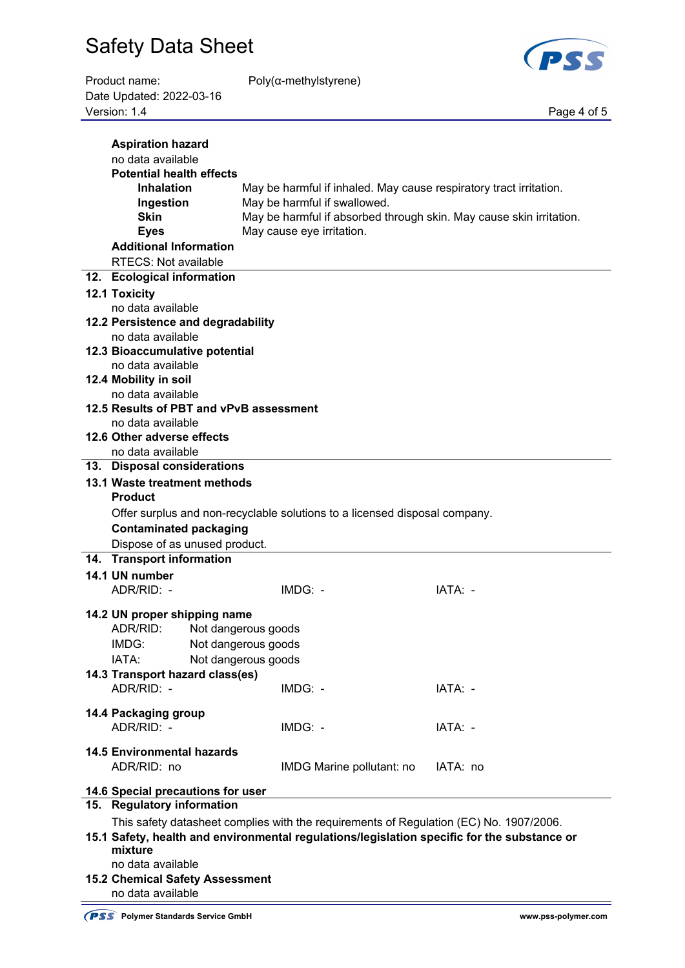

| Product name:            | $Poly(\alpha$ -methylstyrene) |             |
|--------------------------|-------------------------------|-------------|
| Date Updated: 2022-03-16 |                               |             |
| Version: 1.4             |                               | Page 4 of 5 |

α-methylstyrene)

| <b>Aspiration hazard</b><br>no data available<br><b>Potential health effects</b><br><b>Inhalation</b><br>Ingestion<br><b>Skin</b><br><b>Eyes</b><br><b>Additional Information</b><br><b>RTECS: Not available</b> | May be harmful if inhaled. May cause respiratory tract irritation.<br>May be harmful if swallowed.<br>May be harmful if absorbed through skin. May cause skin irritation.<br>May cause eye irritation. |          |  |  |  |
|------------------------------------------------------------------------------------------------------------------------------------------------------------------------------------------------------------------|--------------------------------------------------------------------------------------------------------------------------------------------------------------------------------------------------------|----------|--|--|--|
| 12. Ecological information                                                                                                                                                                                       |                                                                                                                                                                                                        |          |  |  |  |
| <b>12.1 Toxicity</b>                                                                                                                                                                                             |                                                                                                                                                                                                        |          |  |  |  |
| no data available                                                                                                                                                                                                |                                                                                                                                                                                                        |          |  |  |  |
| 12.2 Persistence and degradability                                                                                                                                                                               |                                                                                                                                                                                                        |          |  |  |  |
| no data available                                                                                                                                                                                                |                                                                                                                                                                                                        |          |  |  |  |
| 12.3 Bioaccumulative potential                                                                                                                                                                                   |                                                                                                                                                                                                        |          |  |  |  |
| no data available                                                                                                                                                                                                |                                                                                                                                                                                                        |          |  |  |  |
| 12.4 Mobility in soil                                                                                                                                                                                            |                                                                                                                                                                                                        |          |  |  |  |
| no data available                                                                                                                                                                                                |                                                                                                                                                                                                        |          |  |  |  |
| 12.5 Results of PBT and vPvB assessment                                                                                                                                                                          |                                                                                                                                                                                                        |          |  |  |  |
| no data available                                                                                                                                                                                                |                                                                                                                                                                                                        |          |  |  |  |
| 12.6 Other adverse effects                                                                                                                                                                                       |                                                                                                                                                                                                        |          |  |  |  |
| no data available                                                                                                                                                                                                |                                                                                                                                                                                                        |          |  |  |  |
| 13. Disposal considerations                                                                                                                                                                                      |                                                                                                                                                                                                        |          |  |  |  |
| 13.1 Waste treatment methods                                                                                                                                                                                     |                                                                                                                                                                                                        |          |  |  |  |
| <b>Product</b>                                                                                                                                                                                                   |                                                                                                                                                                                                        |          |  |  |  |
|                                                                                                                                                                                                                  | Offer surplus and non-recyclable solutions to a licensed disposal company.                                                                                                                             |          |  |  |  |
| <b>Contaminated packaging</b>                                                                                                                                                                                    |                                                                                                                                                                                                        |          |  |  |  |
| Dispose of as unused product.<br>14. Transport information                                                                                                                                                       |                                                                                                                                                                                                        |          |  |  |  |
|                                                                                                                                                                                                                  |                                                                                                                                                                                                        |          |  |  |  |
| 14.1 UN number<br>ADR/RID: -                                                                                                                                                                                     | IMDG: -                                                                                                                                                                                                | IATA: -  |  |  |  |
|                                                                                                                                                                                                                  |                                                                                                                                                                                                        |          |  |  |  |
| 14.2 UN proper shipping name                                                                                                                                                                                     |                                                                                                                                                                                                        |          |  |  |  |
| ADR/RID:<br>Not dangerous goods                                                                                                                                                                                  |                                                                                                                                                                                                        |          |  |  |  |
| IMDG:<br>Not dangerous goods                                                                                                                                                                                     |                                                                                                                                                                                                        |          |  |  |  |
| IATA:<br>Not dangerous goods                                                                                                                                                                                     |                                                                                                                                                                                                        |          |  |  |  |
| 14.3 Transport hazard class(es)                                                                                                                                                                                  |                                                                                                                                                                                                        |          |  |  |  |
| ADR/RID: -                                                                                                                                                                                                       | IMDG: -                                                                                                                                                                                                | IATA: -  |  |  |  |
| 14.4 Packaging group                                                                                                                                                                                             |                                                                                                                                                                                                        |          |  |  |  |
| ADR/RID: -                                                                                                                                                                                                       | $IMDG: -$                                                                                                                                                                                              | IATA: -  |  |  |  |
|                                                                                                                                                                                                                  |                                                                                                                                                                                                        |          |  |  |  |
| <b>14.5 Environmental hazards</b>                                                                                                                                                                                |                                                                                                                                                                                                        |          |  |  |  |
| ADR/RID: no                                                                                                                                                                                                      | IMDG Marine pollutant: no                                                                                                                                                                              | IATA: no |  |  |  |
| 14.6 Special precautions for user                                                                                                                                                                                |                                                                                                                                                                                                        |          |  |  |  |
| 15. Regulatory information                                                                                                                                                                                       |                                                                                                                                                                                                        |          |  |  |  |
|                                                                                                                                                                                                                  | This safety datasheet complies with the requirements of Regulation (EC) No. 1907/2006.                                                                                                                 |          |  |  |  |
| mixture                                                                                                                                                                                                          | 15.1 Safety, health and environmental regulations/legislation specific for the substance or                                                                                                            |          |  |  |  |
| no data available                                                                                                                                                                                                |                                                                                                                                                                                                        |          |  |  |  |
| 15.2 Chemical Safety Assessment<br>no data available                                                                                                                                                             |                                                                                                                                                                                                        |          |  |  |  |